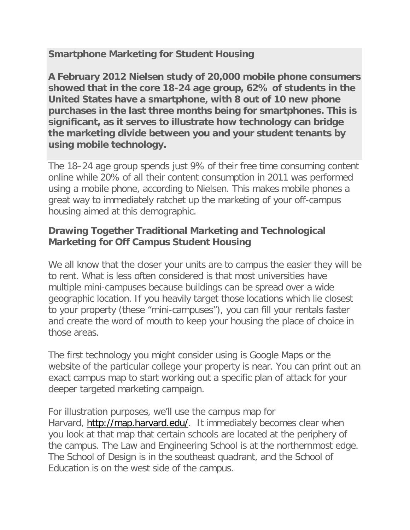## **Smartphone Marketing for Student Housing**

**A February 2012 Nielsen study of 20,000 mobile phone consumers showed that in the core 18-24 age group, 62% of students in the United States have a smartphone, with 8 out of 10 new phone purchases in the last three months being for smartphones. This is significant, as it serves to illustrate how technology can bridge the marketing divide between you and your student tenants by using mobile technology.**

The 18–24 age group spends just 9% of their free time consuming content online while 20% of all their content consumption in 2011 was performed using a mobile phone, according to Nielsen. This makes mobile phones a great way to immediately ratchet up the marketing of your off-campus housing aimed at this demographic.

## **Drawing Together Traditional Marketing and Technological Marketing for Off Campus Student Housing**

We all know that the closer your units are to campus the easier they will be to rent. What is less often considered is that most universities have multiple mini-campuses because buildings can be spread over a wide geographic location. If you heavily target those locations which lie closest to your property (these "mini-campuses"), you can fill your rentals faster and create the word of mouth to keep your housing the place of choice in those areas.

The first technology you might consider using is Google Maps or the website of the particular college your property is near. You can print out an exact campus map to start working out a specific plan of attack for your deeper targeted marketing campaign.

For illustration purposes, we'll use the campus map for Harvard, [http://map.harvard.edu/.](http://map.harvard.edu/) It immediately becomes clear when you look at that map that certain schools are located at the periphery of the campus. The Law and Engineering School is at the northernmost edge. The School of Design is in the southeast quadrant, and the School of Education is on the west side of the campus.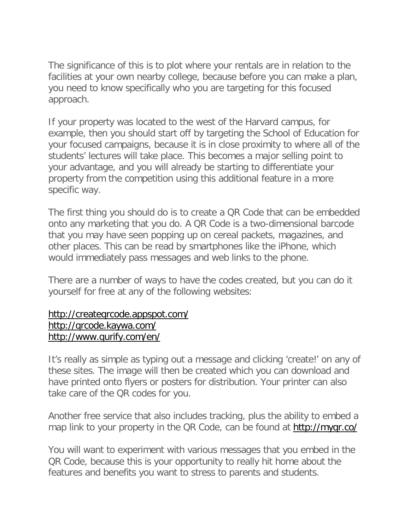The significance of this is to plot where your rentals are in relation to the facilities at your own nearby college, because before you can make a plan, you need to know specifically who you are targeting for this focused approach.

If your property was located to the west of the Harvard campus, for example, then you should start off by targeting the School of Education for your focused campaigns, because it is in close proximity to where all of the students' lectures will take place. This becomes a major selling point to your advantage, and you will already be starting to differentiate your property from the competition using this additional feature in a more specific way.

The first thing you should do is to create a QR Code that can be embedded onto any marketing that you do. A QR Code is a two-dimensional barcode that you may have seen popping up on cereal packets, magazines, and other places. This can be read by smartphones like the iPhone, which would immediately pass messages and web links to the phone.

There are a number of ways to have the codes created, but you can do it yourself for free at any of the following websites:

## <http://createqrcode.appspot.com/> <http://qrcode.kaywa.com/> <http://www.qurify.com/en/>

It's really as simple as typing out a message and clicking 'create!' on any of these sites. The image will then be created which you can download and have printed onto flyers or posters for distribution. Your printer can also take care of the QR codes for you.

Another free service that also includes tracking, plus the ability to embed a map link to your property in the QR Code, can be found at http://mygr.co/

You will want to experiment with various messages that you embed in the QR Code, because this is your opportunity to really hit home about the features and benefits you want to stress to parents and students.